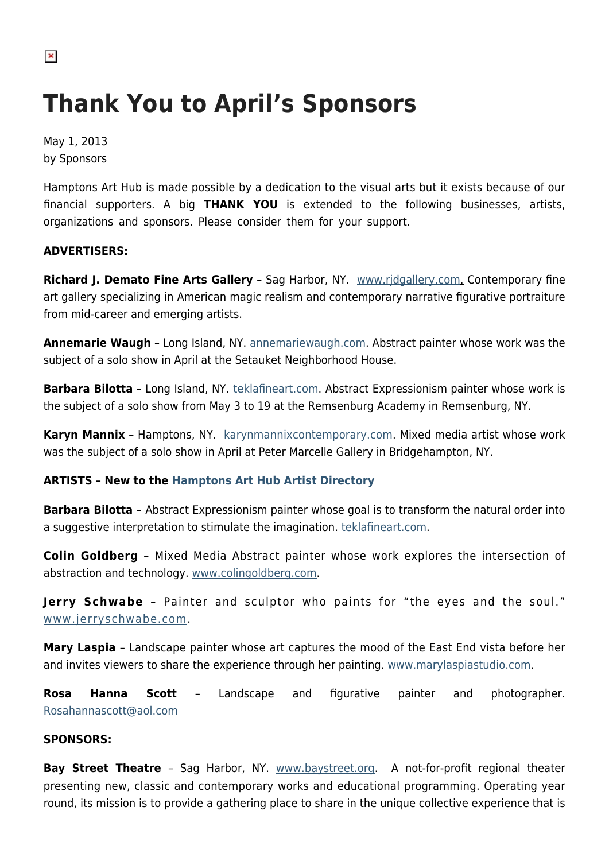# **Thank You to April's Sponsors**

May 1, 2013 by Sponsors

Hamptons Art Hub is made possible by a dedication to the visual arts but it exists because of our financial supporters. A big **THANK YOU** is extended to the following businesses, artists, organizations and sponsors. Please consider them for your support.

## **ADVERTISERS:**

**Richard J. Demato Fine Arts Gallery** – Sag Harbor, NY. [www.rjdgallery.com](http://www.rjdgallery.com/). Contemporary fine art gallery specializing in American magic realism and contemporary narrative figurative portraiture from mid-career and emerging artists.

**Annemarie Waugh** – Long Island, NY. [annemariewaugh.com.](http://annemariewaugh.com) Abstract painter whose work was the subject of a solo show in April at the Setauket Neighborhood House.

**Barbara Bilotta** - Long Island, NY. [teklafineart.com](http://teklafineart.com/). Abstract Expressionism painter whose work is the subject of a solo show from May 3 to 19 at the Remsenburg Academy in Remsenburg, NY.

**Karyn Mannix** - Hamptons, NY. [karynmannixcontemporary.com.](http://karynmannixcontemporary.com/) Mixed media artist whose work was the subject of a solo show in April at Peter Marcelle Gallery in Bridgehampton, NY.

### **ARTISTS – New to the [Hamptons Art Hub Artist Directory](https://hamptonsarthub.com/directory/artists/)**

**Barbara Bilotta –** Abstract Expressionism painter whose goal is to transform the natural order into a suggestive interpretation to stimulate the imagination. [teklafineart.com](http://teklafineart.com/).

**Colin Goldberg** – Mixed Media Abstract painter whose work explores the intersection of abstraction and technology. [www.colingoldberg.com.](http://www.colingoldberg.com)

**Jerry Schwabe** – Painter and sculptor who paints for "the eyes and the soul." [www.jerryschwabe.com](http://www.jerryschwabe.com/).

**Mary Laspia** – Landscape painter whose art captures the mood of the East End vista before her and invites viewers to share the experience through her painting. [www.marylaspiastudio.com.](http://www.marylaspiastudio.com/)

**Rosa Hanna Scott** – Landscape and figurative painter and photographer. [Rosahannascott@aol.com](mailto:Rosahannascott@aol.com)

#### **SPONSORS:**

**Bay Street Theatre** – Sag Harbor, NY. [www.baystreet.org](http://www.baystreet.org/). A not-for-profit regional theater presenting new, classic and contemporary works and educational programming. Operating year round, its mission is to provide a gathering place to share in the unique collective experience that is

 $\pmb{\times}$